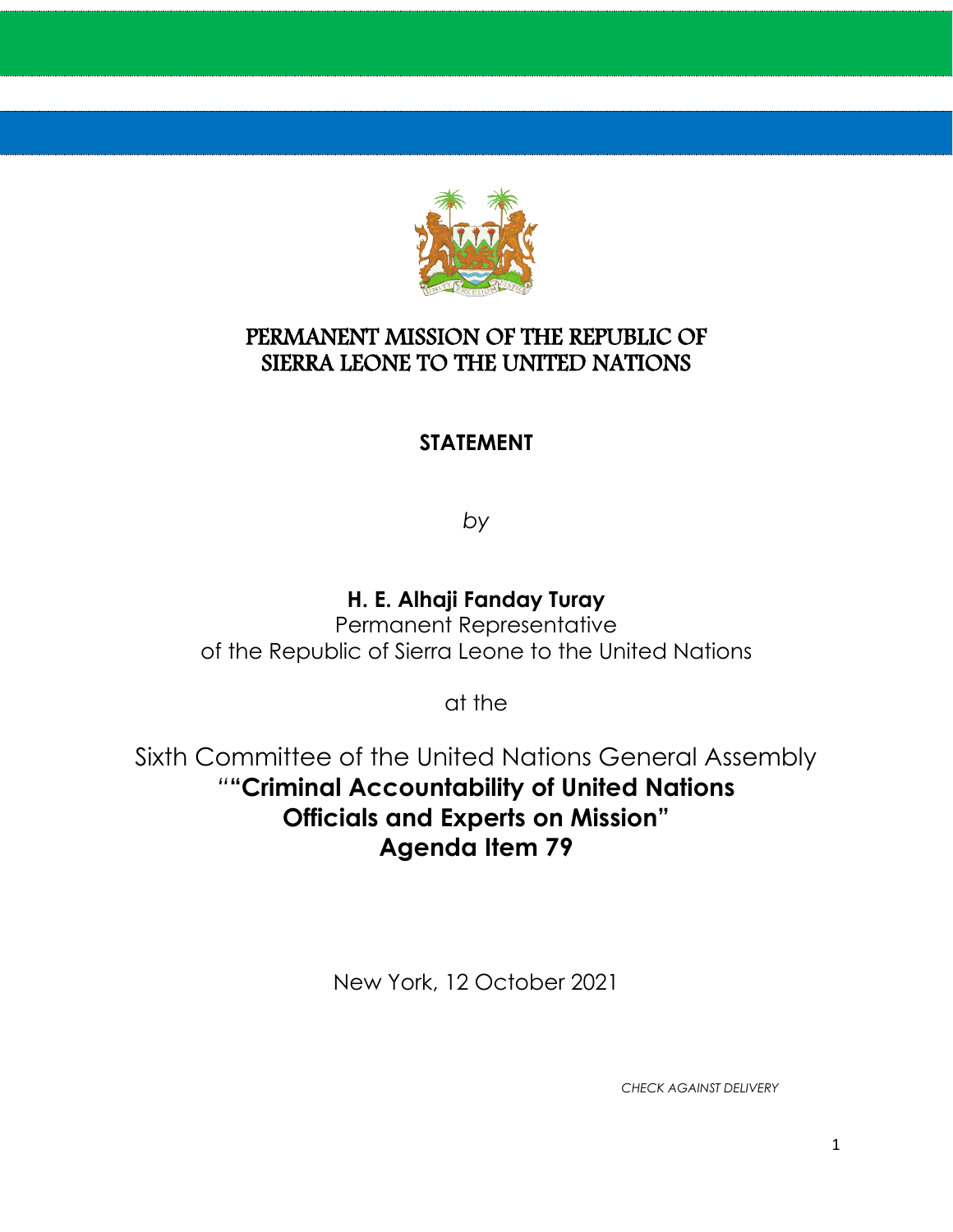

#### PERMANENT MISSION OF THE REPUBLIC OF SIERRA LEONE TO THE UNITED NATIONS

#### **STATEMENT**

*by*

### **H. E. Alhaji Fanday Turay**

Permanent Representative of the Republic of Sierra Leone to the United Nations

at the

Sixth Committee of the United Nations General Assembly *"***"Criminal Accountability of United Nations Officials and Experts on Mission" Agenda Item 79**

New York, 12 October 2021

*CHECK AGAINST DELIVERY*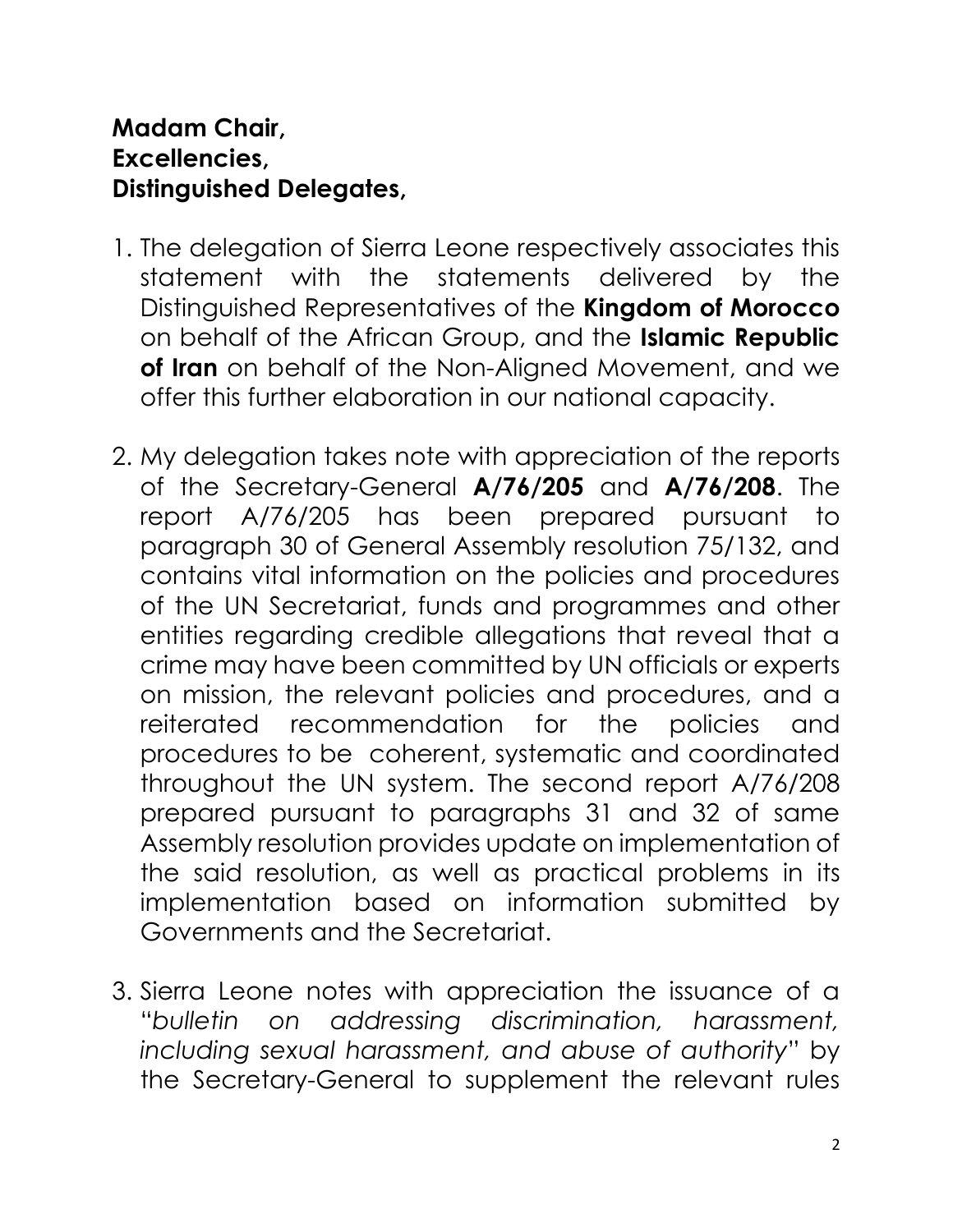### **Madam Chair, Excellencies, Distinguished Delegates,**

- 1. The delegation of Sierra Leone respectively associates this statement with the statements delivered by the Distinguished Representatives of the **Kingdom of Morocco** on behalf of the African Group, and the **Islamic Republic of Iran** on behalf of the Non-Aligned Movement, and we offer this further elaboration in our national capacity.
- 2. My delegation takes note with appreciation of the reports of the Secretary-General **A/76/205** and **A/76/208**. The report A/76/205 has been prepared pursuant to paragraph 30 of General Assembly resolution 75/132, and contains vital information on the policies and procedures of the UN Secretariat, funds and programmes and other entities regarding credible allegations that reveal that a crime may have been committed by UN officials or experts on mission, the relevant policies and procedures, and a reiterated recommendation for the policies and procedures to be coherent, systematic and coordinated throughout the UN system. The second report A/76/208 prepared pursuant to paragraphs 31 and 32 of same Assembly resolution provides update on implementation of the said resolution, as well as practical problems in its implementation based on information submitted by Governments and the Secretariat.
- 3. Sierra Leone notes with appreciation the issuance of a "*bulletin on addressing discrimination, harassment, including sexual harassment, and abuse of authority*" by the Secretary-General to supplement the relevant rules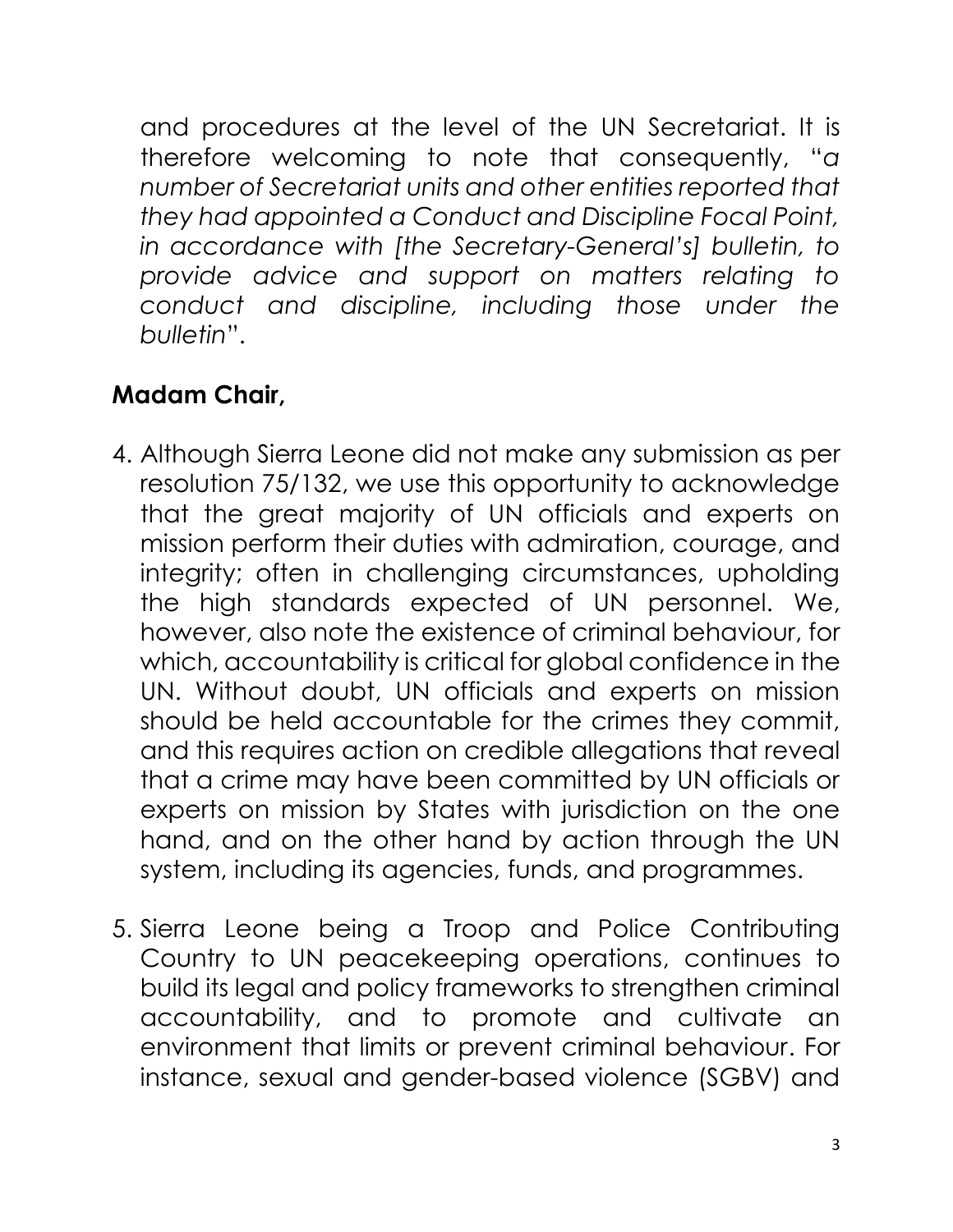and procedures at the level of the UN Secretariat. It is therefore welcoming to note that consequently, "*a number of Secretariat units and other entities reported that they had appointed a Conduct and Discipline Focal Point, in accordance with [the Secretary-General's] bulletin, to provide advice and support on matters relating to conduct and discipline, including those under the bulletin*".

# **Madam Chair,**

- 4. Although Sierra Leone did not make any submission as per resolution 75/132, we use this opportunity to acknowledge that the great majority of UN officials and experts on mission perform their duties with admiration, courage, and integrity; often in challenging circumstances, upholding the high standards expected of UN personnel. We, however, also note the existence of criminal behaviour, for which, accountability is critical for global confidence in the UN. Without doubt, UN officials and experts on mission should be held accountable for the crimes they commit, and this requires action on credible allegations that reveal that a crime may have been committed by UN officials or experts on mission by States with jurisdiction on the one hand, and on the other hand by action through the UN system, including its agencies, funds, and programmes.
- 5. Sierra Leone being a Troop and Police Contributing Country to UN peacekeeping operations, continues to build its legal and policy frameworks to strengthen criminal accountability, and to promote and cultivate an environment that limits or prevent criminal behaviour. For instance, sexual and gender-based violence (SGBV) and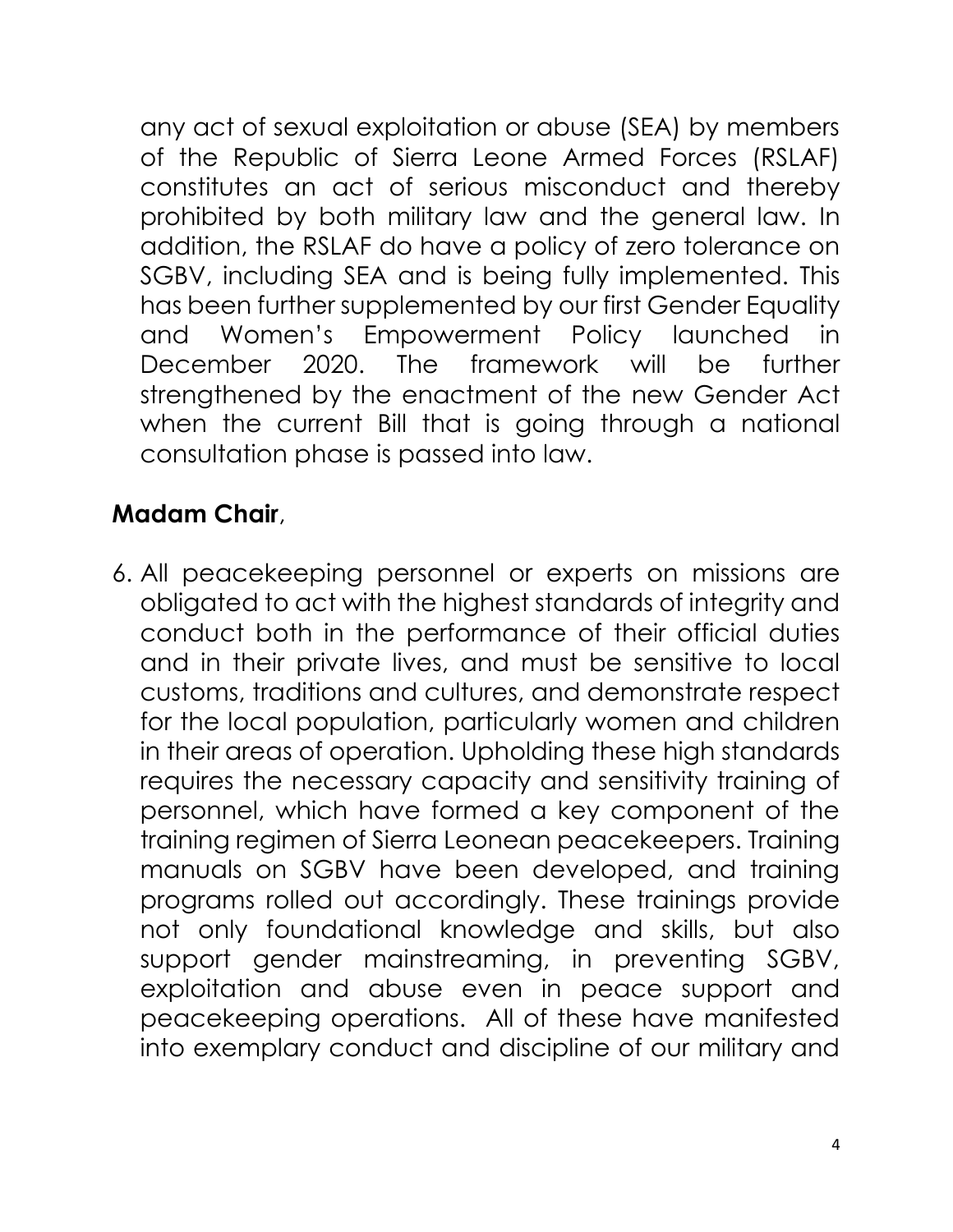any act of sexual exploitation or abuse (SEA) by members of the Republic of Sierra Leone Armed Forces (RSLAF) constitutes an act of serious misconduct and thereby prohibited by both military law and the general law. In addition, the RSLAF do have a policy of zero tolerance on SGBV, including SEA and is being fully implemented. This has been further supplemented by our first Gender Equality and Women's Empowerment Policy launched in December 2020. The framework will be further strengthened by the enactment of the new Gender Act when the current Bill that is going through a national consultation phase is passed into law.

## **Madam Chair**,

6. All peacekeeping personnel or experts on missions are obligated to act with the highest standards of integrity and conduct both in the performance of their official duties and in their private lives, and must be sensitive to local customs, traditions and cultures, and demonstrate respect for the local population, particularly women and children in their areas of operation. Upholding these high standards requires the necessary capacity and sensitivity training of personnel, which have formed a key component of the training regimen of Sierra Leonean peacekeepers. Training manuals on SGBV have been developed, and training programs rolled out accordingly. These trainings provide not only foundational knowledge and skills, but also support gender mainstreaming, in preventing SGBV, exploitation and abuse even in peace support and peacekeeping operations. All of these have manifested into exemplary conduct and discipline of our military and